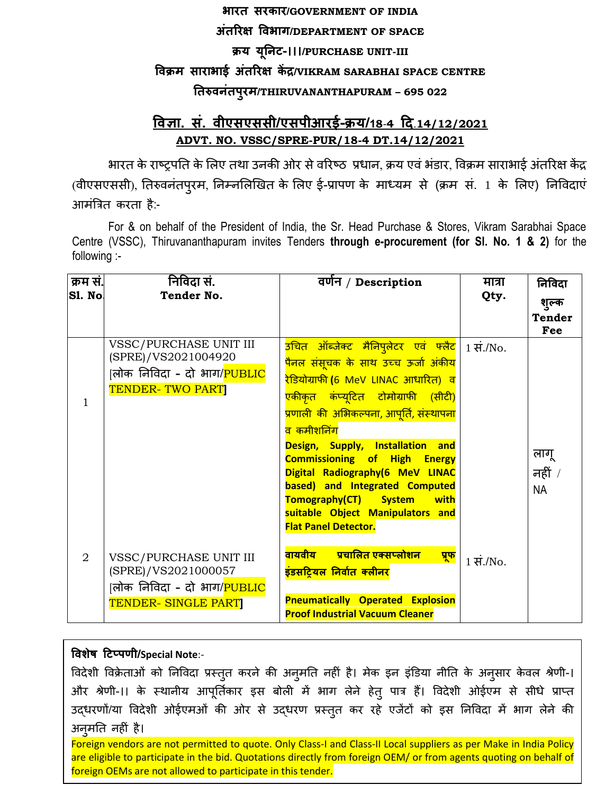## **भारत सरकार/GOVERNMENT OF INDIA अंतररक्ष विभाग/DEPARTMENT OF SPACE क्रय यूनिट-।।।/PURCHASE UNIT-III विक्रम साराभाई अंतररक्ष कें द्र/VIKRAM SARABHAI SPACE CENTRE नतरुििंतपुरम/THIRUVANANTHAPURAM – 695 022**

## **विज्ञा. सं. िीएसएससी/एसपीआरई-क्रय/18**-**4 दि**.**14/12/2021 ADVT. NO. VSSC/SPRE-PUR/18-4 DT.14/12/2021**

भारत के राष्ट्रपति के लिए तथा उनकी ओर से वरिष्ठ प्रधान, क्रय एवं भंडार, विक्रम साराभाई अंतरिक्ष केंद्र (वीएसएससी), ततरुवनंतपुरम, तनम्नलिखित के लिए ई-प्रापण के माध्यम से (क्रम सं. 1 के लिए) तनववदाएं आमंत्रित करता है:-

For & on behalf of the President of India, the Sr. Head Purchase & Stores, Vikram Sarabhai Space Centre (VSSC), Thiruvananthapuram invites Tenders **through e-procurement (for Sl. No. 1 & 2)** for the following :-

| क्रम सं.       | निविदा सं.                                                                                                       | वर्णन / Description                                                                                                                                                                                                                                                                                                                                                                          | मात्रा                 | निविदा                 |
|----------------|------------------------------------------------------------------------------------------------------------------|----------------------------------------------------------------------------------------------------------------------------------------------------------------------------------------------------------------------------------------------------------------------------------------------------------------------------------------------------------------------------------------------|------------------------|------------------------|
| Sl. No         | <b>Tender No.</b>                                                                                                |                                                                                                                                                                                                                                                                                                                                                                                              | Qty.                   | शुल्क<br><b>Tender</b> |
|                |                                                                                                                  |                                                                                                                                                                                                                                                                                                                                                                                              |                        | Fee                    |
| 1              | VSSC/PURCHASE UNIT III<br>(SPRE)/VS2021004920<br> लोक निविदा - दो भाग/ <mark>PUBLIC</mark><br>TENDER-TWO PART    | <mark>उचित ऑब्जेक्ट मैनिपुलेटर एवं फ्लैट</mark> 1 सं./No.<br><mark>पैनल संसुचक के साथ उच्च ऊर्जा अंकीय</mark><br>रेडियोग्राफी (6 MeV LINAC आधारित) व<br><mark>एकीकृत कंप्यृटित टोमोग्राफी (सीटी)</mark><br>प्रणाली की अभिकल्पना, आपूर्ति, संस्थापना<br><mark>व कमीशनिंग</mark><br>Design, Supply, Installation and<br><b>Commissioning of High Energy</b><br>Digital Radiography(6 MeV LINAC |                        | लागू<br>नहीं /         |
| $\overline{2}$ | VSSC/PURCHASE UNIT III<br>(SPRE)/VS2021000057<br> लोक निविदा - दो भाग/ <mark>PUBLIC</mark><br>TENDER-SINGLE PART | based) and Integrated Computed<br>Tomography(CT) System<br>with<br>suitable Object Manipulators and<br><b>Flat Panel Detector.</b><br><mark>वायवीय प्रचालित एक्सप्लोशन</mark><br>्पूफ<br>इंडसट्यिल निर्वात क्लीनर<br><b>Pneumatically Operated Explosion</b><br><b>Proof Industrial Vacuum Cleaner</b>                                                                                       | $1 \overline{H}$ ./No. | <b>NA</b>              |

## **विशेष दटप्पणी/Special Note**:-

विदेशी विक्रेताओं को निविदा प्रस्तुत करने की अनुमति नहीं है। मेक इन इंडिया नीति के अनुसार केवल श्रेणी-। और श्रेणी-।। के स्थानीय आपूर्तिकार इस बोली में भाग लेने हेतु पात्र हैं। विदेशी ओईएम से सीधे प्राप्त उद्धरणों/या ववदेशी ओईएमओं की ओर से उद्धरण प्रस्ततु कर रहे एजेंटों को इस तनववदा में भाग िेने की अन्**मति नहीं** है।

Foreign vendors are not permitted to quote. Only Class-I and Class-II Local suppliers as per Make in India Policy are eligible to participate in the bid. Quotations directly from foreign OEM/ or from agents quoting on behalf of foreign OEMs are not allowed to participate in this tender.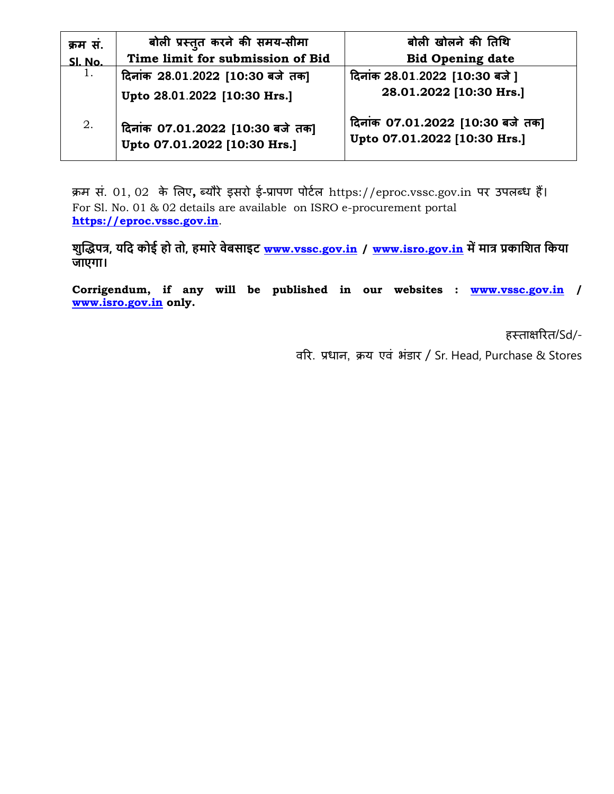| क्रम सं. | बोली प्रस्तुत करने की समय-सीमा                                   | बोली खोलने की तिथि                                               |
|----------|------------------------------------------------------------------|------------------------------------------------------------------|
| Sl. No.  | Time limit for submission of Bid                                 | <b>Bid Opening date</b>                                          |
| 1.       | दिनांक 28.01.2022 [10:30 बजे तक]                                 | दिनांक 28.01.2022 [10:30 बजे]                                    |
|          | Upto 28.01.2022 [10:30 Hrs.]                                     | 28.01.2022 [10:30 Hrs.]                                          |
| 2.       | दिनांक 07.01.2022 [10:30 बजे तक]<br>Upto 07.01.2022 [10:30 Hrs.] | दिनांक 07.01.2022 [10:30 बजे तक]<br>Upto 07.01.2022 [10:30 Hrs.] |

क्रम सं. 01, 02 के लिए**,** ब्यौरे इसरो ई-प्रापण पोटाि https://eproc.vssc.gov.in पर उपिब्ध हैं। For Sl. No. 01 & 02 details are available on ISRO e-procurement portal **[https://eproc.vssc.gov.in](https://eproc.vssc.gov.in/)**.

**शुद्धिपत्र, यनद कोई हो तो, हमारे िेबसाइट [www.vssc.gov.in](http://www.vssc.gov.in/) / [www.isro.gov.in](http://www.isro.gov.in/) में मात्र प्रकानशत नकया जाएगा।**

**Corrigendum, if any will be published in our websites : [www.vssc.gov.in](http://www.vssc.gov.in/) / [www.isro.gov.in](http://www.isro.gov.in/) only.**

हस्ताक्षररत/Sd/-

वरर. प्रधान, क्रय एवं भंडार / Sr. Head, Purchase & Stores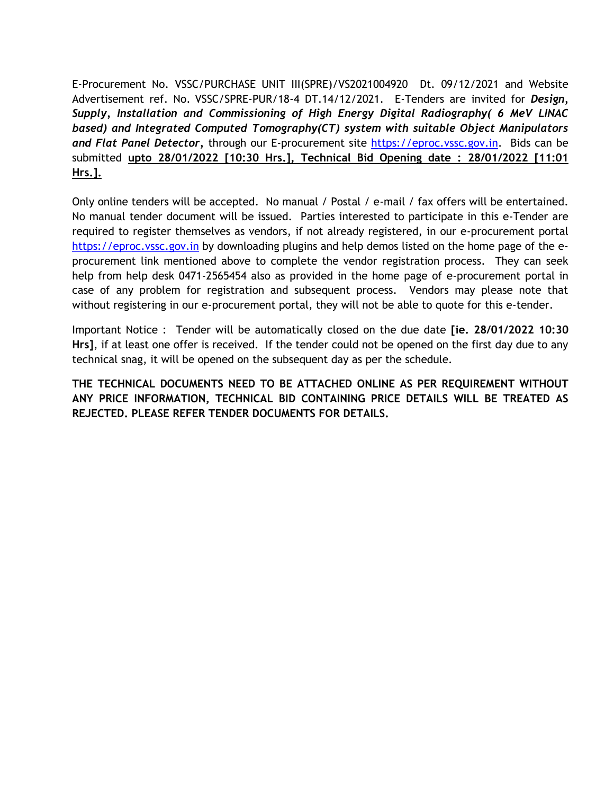E-Procurement No. VSSC/PURCHASE UNIT III(SPRE)/VS2021004920 Dt. 09/12/2021 and Website Advertisement ref. No. VSSC/SPRE-PUR/18-4 DT.14/12/2021. E-Tenders are invited for *Design, Supply, Installation and Commissioning of High Energy Digital Radiography( 6 MeV LINAC based) and Integrated Computed Tomography(CT) system with suitable Object Manipulators*  and Flat Panel Detector, through our E-procurement site [https://eproc.vssc.gov.in.](https://eproc.vssc.gov.in/) Bids can be submitted **upto 28/01/2022 [10:30 Hrs.], Technical Bid Opening date : 28/01/2022 [11:01 Hrs.].**

Only online tenders will be accepted. No manual / Postal / e-mail / fax offers will be entertained. No manual tender document will be issued. Parties interested to participate in this e-Tender are required to register themselves as vendors, if not already registered, in our e-procurement portal [https://eproc.vssc.gov.in](https://eproc.vssc.gov.in/) by downloading plugins and help demos listed on the home page of the eprocurement link mentioned above to complete the vendor registration process. They can seek help from help desk 0471-2565454 also as provided in the home page of e-procurement portal in case of any problem for registration and subsequent process. Vendors may please note that without registering in our e-procurement portal, they will not be able to quote for this e-tender.

Important Notice : Tender will be automatically closed on the due date **[ie. 28/01/2022 10:30 Hrs]**, if at least one offer is received. If the tender could not be opened on the first day due to any technical snag, it will be opened on the subsequent day as per the schedule.

**THE TECHNICAL DOCUMENTS NEED TO BE ATTACHED ONLINE AS PER REQUIREMENT WITHOUT ANY PRICE INFORMATION, TECHNICAL BID CONTAINING PRICE DETAILS WILL BE TREATED AS REJECTED. PLEASE REFER TENDER DOCUMENTS FOR DETAILS.**